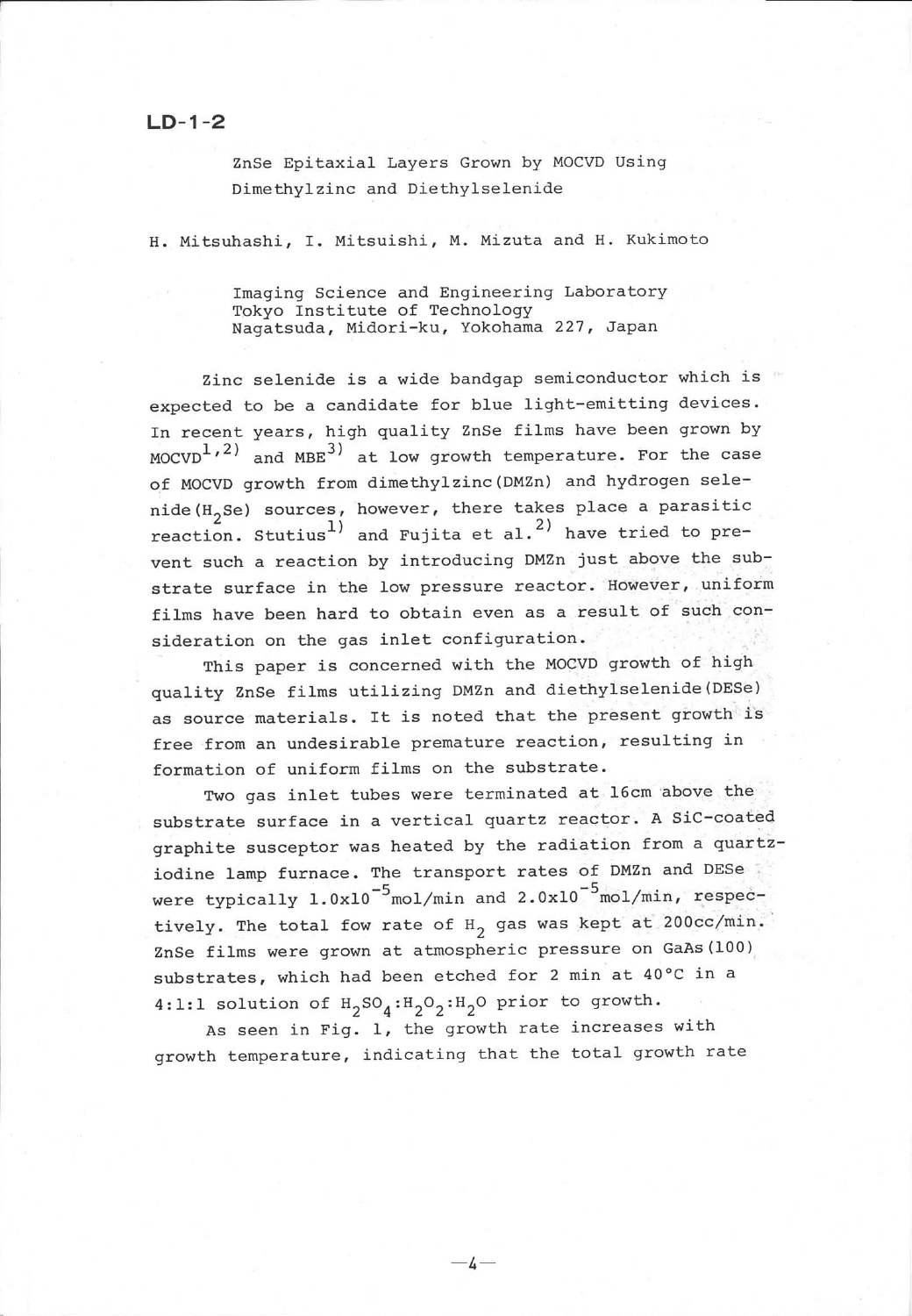## $LD - 1 - 2$

ZnSe Epitaxial Layers Grown by MOCVD Using Dimethylzinc and Diethylselenide Dimethylzinc and Diethylselenide

H. Mitsuhashi, I. Mitsuishi, M. Mizuta and H. Kukimoto

Imaging Science and Engineering Laboratory Tokyo Institute of Technology Nagatsuda, Midori-ku, Yokohama 227, Japan

Zinc selenide is a wide bandgap semiconductor which is expected to be a candidate for blue light-emitting devices. In recent years, high quality ZnSe films have been grown by  $MOCVD<sup>1</sup>,<sup>2</sup>$  and MBE<sup>3)</sup> at low growth temperature. For the case of MOCVD growth from dimethylzinc (DMZn) and hydrogen selenide( $H_2$ Se) sources, however, there takes place a parasitic reaction. Stutius<sup>1</sup> and Fujita et al.<sup>2</sup> have tried to prevent such a reaction by introducing DMZn just above the substrate surface in the low pressure reactor. However, uniform films have been hard to obtain even as a result of such consideration on the gas inlet configuration.

This paper is concerned with the MOCVD growth of high quality ZnSe films utilizing DMZn and diethylselenide (DESe) as source materials. It is noted that the present growth is free from an undesirable premature reaction, resulting in formation of uniform films on the substrate.

Two gas inlet tubes were terminated at 16cm above the substrate surface in a vertical guartz reactor. A SiC-coated graphite susceptor was heated by the radiation from a quartziodine lamp furnace. The transport rates of DMZn and DESe were typically  $1.0x10^{-5}$ mol/min and  $2.0x10^{-5}$ mol/min, respectively. The total fow rate of  $H_2$  gas was kept at 200cc/min. ZnSe films were grown at atmospheric pressure on GaAs(100) substrates, which had been etched for 2 min at 40°C in a 4:1:1 solution of  $H_2SO_4:H_2O_2:H_2O$  prior to growth.

As seen in Fig. 1, the growth rate increases with growth temperature, indicating that the total growth rate